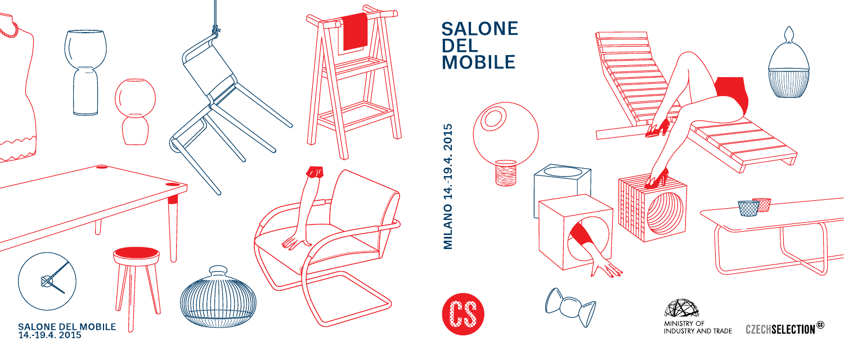

## **SALONE DEL<br>MOBILE**



# 2015 14.-19.4. MILANO



MINISTRY OF<br>INDUSTRY AND TRADE

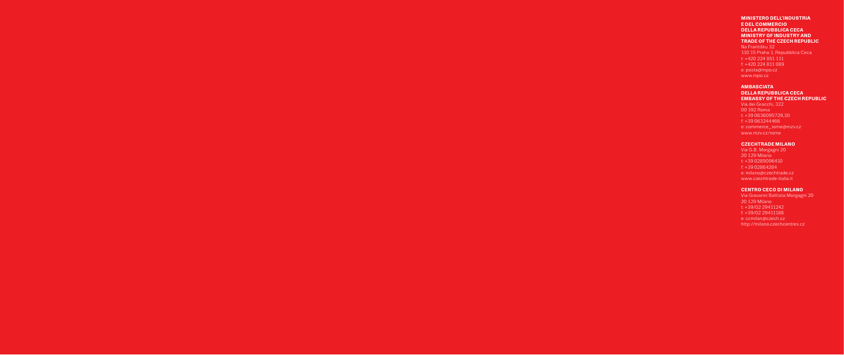#### **MINISTERO DELL'INDUSTRIA E DEL COMMERCIO DELLA REPUBBLICA CECA MINISTRY OF INDUSTRY AND TRADE OF THE CZECH REPUBLIC**

Na Františku 32 110 15 Praha 1, Repubblica Ceca t: +420 224 851 111 f: +420 224 811 089 e: posta@mpo.cz www.mpo.cz

#### **AMBASCIATA DELLA REPUBBLICA CECA EMBASSY OF THE CZECH REPUBLIC**

Via dei Gracchi, 322 00 192 Roma t: +39 0636095729,30 f: +39 063244466 e: commerce\_rome@mzv.cz www.mzv.cz/rome

#### **CZECHTRADE MILANO**

Via G.B. Morgagni 20 20 129 Milano t: +39 0289096410 f: +39 02864284 e: milano@czechtrade.cz www.czechtrade-italia.it

#### **CENTRO CECO DI MILANO**

Via Giovanni Battista Morgagni 20 20 129 Milano t: +39/02 29411242 f: +39/02 29411188 e: ccmilan@czech.cz http://milano.czechcentres.cz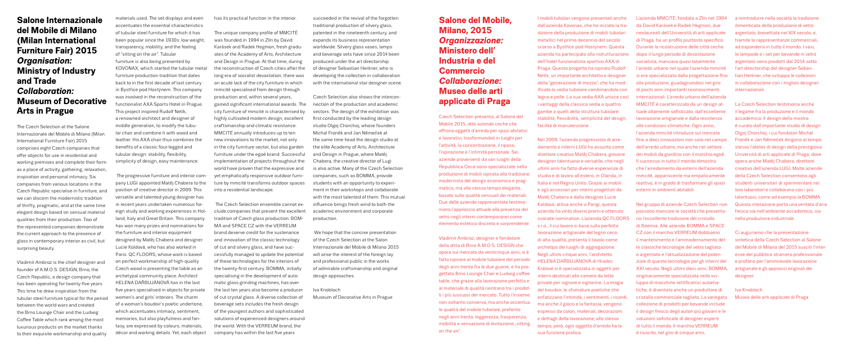**Salone del Mobile, Milano, 2015** *Organizzazione:*  **Ministero dell' Industria e del Commercio** *Collaborazione:*  **Museo delle arti applicate di Praga**

Czech Selection presenta, al Salone del Mobile 2015, otto aziende ceche che ofrono oggetti d'arredo per spazi abitativi e lavorativi, trasformandoli in luoghi per l'attività, la concentrazione, il riposo, l'ispirazione e l'intimità personale. Sei aziende provenienti da vari luoghi della Repubblica Ceca sono specializzate nella produzione di mobili ispirata alla tradizione modernista del design economico e pragmatico, ma allo stesso tempo elegante, basato sulle qualità sensuali dei materiali. Due delle aziende rappresentate testimoniano l'approccio attuale alla presenza del vetro negli interni contemporanei come elemento estetico discreto e sorprendente.

Vladimír Ambroz, designer e fondatore della ditta di Brno A.M.O.S. DESIGN che opera sul mercato da venticinque anni, si è fatto ispirare al mobile tubolare del periodo degli anni trenta fra le due guerre, e ha progettato Brno Lounge Chair e Ludwig cofee table, che grazie alla lavorazione perfetta e al materiale di qualità rientrano tra i prodotti i più lussuosi del mercato. Tutto l'insieme non soltanto conserva, ma anche accentua le qualità del mobile tubolare, preferito negli anni trenta: leggerezza, trasparenza, mobilità e sensazione di levitazione "sitting on the air".

I mobili tubolari vengono presentati anche dall'azienda Kovonax, che ha iniziato la tradizione della produzione di mobili tubolari metallici nel primo decennio del secolo scorso a Bystřice pod Hostýnem. Questa azienda ha partecipato alla ristrutturazione dell'hotel funzionalista sportivo AXA di Praga. Questo progetto ha ispirato Rudolf Netík, un importante architetto e designer della "generazione di mezzo", che ha modifcato la sedia tubolare combinandola con legno e pelle. La sua sedia AXA unisce così i vantaggi della classica sedia a quattro gambe a quelli della struttura tubolare: stabilità, fessibilità, semplicità del design, facilità di manutenzione.

Nel 2009, l'azienda progressista di arredamento e interni LUGI ha assunto come direttore creativo Matěj Chabera, giovane designer talentuoso e versatile, che negli ultimi anni ha fatto diverse esperienze di studio e di lavoro all'estero, in Olanda, in Italia e nel Regno Unito. Grazie ai mobili e agli accessori per interni progettati da Matěj Chabera e dalla designer Lucie Koldová, attiva anche a Parigi, questa azienda ha vinto diversi premi e ottenuto svariate nomination. L'azienda QC FLOORS s.r.o., il cui lavoro si basa sulla perfetta lavorazione artigianale del legno ceco di alta qualità, presenta il tavolo come archetipo dei luoghi di aggregazione. Negli ultimi cinque anni, l'architetto HELENA DAŘBUJÁNOVÁ di Hradec Králové si è specializzata in oggetti per interni destinati alle camere da letto private per signore e signorine. La magia del boudoir, le sfumature poetiche che enfatizzano l'intimità, i sentimenti, i ricordi, ma anche il gioco e la fantasia, vengono espressi da colori, materiali, decorazioni e dettagli della lavorazione; allo stesso tempo, però, ogni oggetto d'arredo ha la sua funzione pratica.

The Czech Selection at the Salone Internazionale del Mobile di Milano (Milan International Furniture Fair) 2015 comprises eight Czech companies that offer objects for use in residential and working premises and complete their form as a place of activity, gathering, relaxation, inspiration and personal intimacy. Six companies from various locations in the Czech Republic specialise in furniture, and we can discern the modernistic tradition of thrifty, pragmatic, and at the same time elegant design based on sensual material qualities from their production. Two of the represented companies demonstrate the current approach to the presence of glass in contemporary interior as civil, but surprising beauty.

L'azienda MMCITÉ, fondata a Zlín nel 1994 da David Karásek e Radek Hegmon, due neolaureati dell'Università di arti applicate di Praga, ha un proflo piuttosto specifco. Durante la ricostruzione delle città ceche dopo il lungo periodo di devastazione socialista, mancava quasi totalmente l'arredo urbano nel quale l'azienda mmcité si era specializzata dalla progettazione fno alla produzione, guadagnandosi nel giro di pochi anni importanti riconoscimenti internazionali. L'arredo urbano dell'azienda MMCITÉ è caratterizzato da un design attuale altamente sofsticato, dall'eccellente lavorazione artigianale e dalla resistenza alle condizioni climatiche. Ogni anno, l'azienda mmcité introduce sul mercato fno a dieci innovazioni non solo nel campo dell'arredo urbano, ma anche nel settore dei mobili da giardino con il marchio egoé. Il successo in tutto il mondo dimostra che l'arredamento da esterni dell'azienda mmcité, appariscente ma empaticamente reattivo, è in grado di trasformare gli spazi esterni in ambienti abitabili.

materials used. The set displays and even accentuates the essential characteristics of tubular steel furniture for which it has been popular since the 1930s; low weight transparency, mobility, and the feeling of "sitting on the air". Tubular furniture is also being presented by KOVONAX, which started the tubular metal furniture production tradition that dates back to in the frst decade of last century in Bystřice pod Hostýnem. This company was involved in the reconstruction of the functionalist AXA Sports Hotel in Prague. This project inspired Rudolf Netík. a renowned architect and designer of middle generation, to modify the tubular chair and combine it with wood and leather. His AXA chair thus combines the benefts of a classic four-legged and tubular design: stability, fexibility, simplicity of design, easy maintenance.

> Nel gruppo di aziende Czech Selection non possono mancare le società che presentano l'eccellente tradizione del cristallo di Boemia. Alle aziende BOMMA e SPACE CZ con il marchio VERREUM dobbiamo il mantenimento e l'ammodernamento del le classiche tecnologie del vetro tagliato e argentato e l'attualizzazione del potenziale di queste tecnologie per gli interni del XXI secolo. Negli ultimi dieci anni, BOMMA, originariamente specializzata nello sviluppo di macchine rettificatrici automatiche, è diventata anche un produttore di cristallo commerciale tagliato. La variegata collezione di prodotti per bevande include il design fresco degli autori più giovani e le soluzioni sofisticate di designer esperti di tutto il mondo. Il marchio VERREUM è riuscito, nel giro di cinque anni,

The progressive furniture and interior company LUGI appointed Matěj Chabera to the position of creative director in 2009. This versatile and talented young designer has in recent years undertaken numerous foreign study and working experiences in Holland, Italy and Great Britain. This company has won many prizes and nominations for the furniture and interior equipment designed by Matěj Chabera and designer Lucie Koldová, who has also worked in Paris. QC FLOORS, whose work is based on perfect workmanship of high-quality Czech wood is presenting the table as an archetypal community place. Architect HELENA DAŘBUJÁNOVÁ has in the last five years specialised in objects for private women's and girls' interiors. The charm of a woman's boudoir's poetic undertone, which accentuates intimacy, sentiment, memories, but also playfulness and fantasy, are expressed by colours, materials, décor and working details. Yet, each object

a reintrodurre nella società la tradizione dimenticata della produzione di vetro argentato, brevettata nel XIX secolo, e, tramite le rappresentanze commerciali, ad espandersi in tutto il mondo. I vasi, le lampade e i set per bevande in vetro argentato sono prodotti dal 2014 sotto l'art directorship del designer Sebastian Herkner, che sviluppa le collezioni in collaborazione con i migliori designer internazionali.

The unique company profile of MMCITÉ was founded in 1994 in Zlín by David Karásek and Radek Hegmon, fresh graduates of the Academy of Arts, Architecture and Design in Prague. At that time, during the reconstruction of Czech cities after the long era of socialist devastation, there was an acute lack of the city furniture in which mmcité specialised from design through production and, within several years, gained significant international awards. The city furniture of mmcité is characterised by highly cultivated modern design, excellent craftsmanship and climatic resistance. MMCITÉ annually introduces up to ten new innovations to the market, not only in the city furniture sector, but also garden furniture under the egoé brand. Successful implementation of projects throughout the world have proven that the expressive and yet emphatically responsive outdoor furniture by mmcité transforms outdoor spaces into a residential landscape.

The Czech Selection ensemble cannot exclude companies that present the excellent tradition of Czech glass production. BOM-MA and SPACE CZ with the VERREUM brand deserve credit for the sustenance and innovation of the classic technology of cut and silvery glass, and have successfully managed to update the potential of these technologies for the interiors of the twenty-frst century. BOMMA, initially specialising in the development of automatic glass grinding machines, has over the last ten years also become a producer of cut crystal glass. A diverse collection of beverage sets includes the fresh design of the youngest authors and sophisticated solutions of experienced designers around the world. With the VERREUM brand, the company has within the last five years

La Czech Selection testimonia anche il legame fra la produzione e il mondo accademico. Il design della mostra è curato dall'importante studio di design Olgoj Chorchoj, i cui fondatori Michal Froněk e Jan Němeček dirigono al tempo stesso l'atelier di design della prestigiosa Università di arti applicate di Praga, dove opera anche Matěj Chabera, direttore creativo dell'azienda LUGI. Molte aziende della Czech Selection consentono agli studenti universitari di sperimentare nei loro laboratori e collaborano con i più talentuosi, come ad esempio la BOMMA. Questa interazione porta una ventata d'aria fresca sia nell'ambiente accademico, sia nella produzione industriale.

Ci auguriamo che la presentazione sintetica della Czech Selection al Salone del Mobile di Milano del 2015 susciti l'interesse del pubblico straniero professionale e profano per l'ammirevole lavorazione artigianale e gli approcci originali dei designer.

We hope that the concise presentation of the Czech Selection at the Salon Internazionale del Mobile di Milano 2015 will arise the interest of the foreign lay and professional public in the works of admirable craftsmanship and original design approaches.

#### Iva Knobloch Museo delle arti applicate di Praga

### **Salone Internazionale del Mobile di Milano (Milan International Furniture Fair) 2015** *Organisation:*  **Ministry of Industry and Trade** *Collaboration:* **Museum of Decorative Arts in Prague**

Vladimír Ambroz is the chief designer and founder of A.M.O.S. DESIGN, Brno, the Czech Republic, a design company that has been operating for twenty-five years. This time he drew inspiration from the tubular steel furniture typical for the period between the world wars and created the Brno Lounge Chair and the Ludwig Coffee Table which rank among the most luxurious products on the market thanks to their exquisite workmanship and quality has its practical function in the interior.

succeeded in the revival of the forgotten traditional production of silvery glass, patented in the nineteenth century, and expands its business representation worldwide. Silvery glass vases, lamps and beverage sets have since 2014 been produced under the art directorship of designer Sebastian Herkner, who is developing the collection in collaboration with the international star designer scene.

Czech Selection also shows the interconnection of the production and academic sectors. The design of the exhibition was frst conducted by the leading design studio Olgoj Chorchoj, whose founders Michal Froněk and Jan Němeček at the same time head the design studio at the elite Academy of Arts, Architecture and Design in Prague, where Matěj Chabera, the creative director of Lugi is also active. Many of the Czech Selection companies, such as BOMMA, provide students with an opportunity to experiment in their workshops and collaborate with the most talented of them. This mutual infuence brings fresh wind to both the academic environment and corporate production.

Iva Knobloch Museum of Decorative Arts in Prague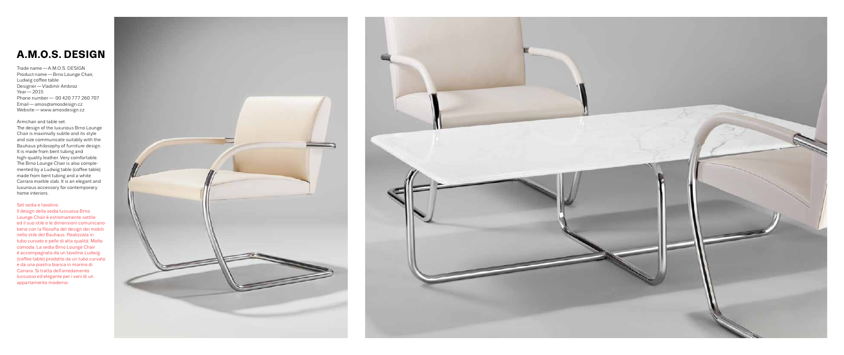## **A.M.O.S. DESIGN**

Trade name―A.M.O.S. DESIGN Product name―Brno Lounge Chair, Ludwig coffee table Designer — Vladimír Ambroz Year<sup>-2015</sup> Phone number― 00 420 777 260 707 Email―amos@amosdesign.cz Website — www.amosdesign.cz

#### Armchair and table set.

The design of the luxurious Brno Lounge Chair is maximally subtle and its style and size communicate suitably with the Bauhaus philosophy of furniture design. It is made from bent tubing and high-quality leather. Very comfortable. The Brno Lounge Chair is also complemented by a Ludwig table (coffee table) made from bent tubing and a white Carrara marble slab. It is an elegant and luxurious accessory for contemporary home interiors.

#### Set sedia e tavolino

Il design della sedia lussuosa Brno Lounge Chair è estremamente sottile ed il suo stile e le dimensioni comunicano bene con la filosofia del design dei mobili nello stile del Bauhaus. Realizzata in tubo curvato e pelle di alta qualità. Molto comoda. La sedia Brno Lounge Chair è accompagnata da un tavolino Ludwig (cofee table) prodotto da un tubo curvato e da una piastra bianca in marmo di Carrara. Si tratta dell'arredamento lussuoso ed elegante per i vani di un appartamento moderno.



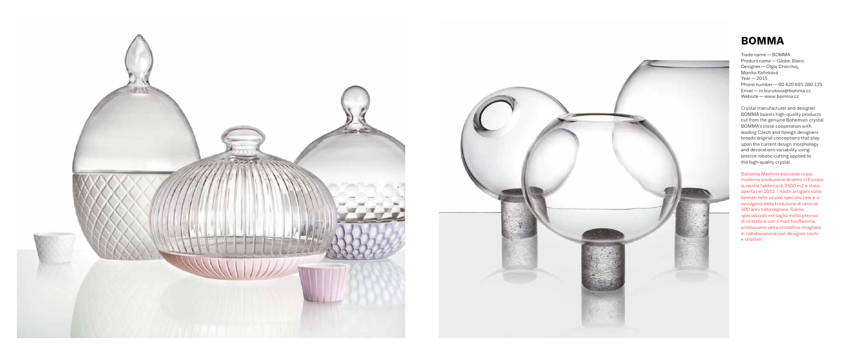

## **BOMMA**

Trade name―BOMMA Product name―Globe, Blanc Designer―Olgoj Chorchoj, Monika Kořínková Year―2015 Phone number―00 420 605 280 135 Email―m.bursikova@bomma.cz Website―www.bomma.cz

Crystal manufacturer and designer BOMMA boasts high-quality products cut from the genuine Bohemian crystal. BOMMA's close cooperation with leading Czech and foreign designers breeds original conceptions that play upon the current design morphology and decorations variability using precise robotic cutting applied to the high-quality crystal.

Bohemia Machine possiede la più moderna produzione di vetro in Europa, la nostra fabbrica di 3500 m2 è stata aperta nel 2012. I nostri artigiani sono formati nelle scuole specializzate e si avvalgono della tradizione di vetro di 500 anni nella regione. Siamo specializzati nel taglio molto preciso di cristallo e con il marchio Bomma produciamo vetro cristallino intagliato in collaborazione con designer cechi e stranieri.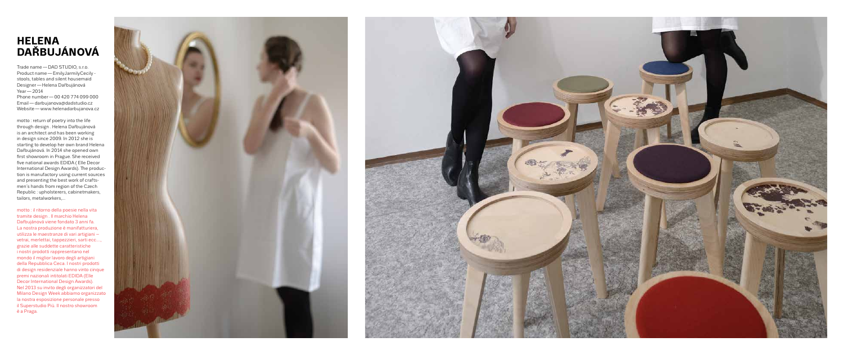## **HELENA DAŘBUJÁNOVÁ**

Trade name―DAD STUDIO, s.r.o. Product name―EmilyJarmilyCecily stools, tables and silent housemaid Designer―Helena Dařbujánová Year―2014 Phone number―00 420 774 099 000 Email―darbujanova@dadstudio.cz Website―www.helenadarbujanova.cz

motto : return of poetry into the life through design . Helena Dařbujánová is an architect and has been working in design since 2009. In 2012 she is starting to develop her own brand Helena Dařbujánová. In 2014 she opened own frst showroom in Prague. She received fve national awards EDIDA ( Elle Decor International Design Awards). The production is manufactory using current sources and presenting the best work of craftsmen´s hands from region of the Czech Republic : upholsterers, cabinetmakers, tailors, metalworkers,...

motto : il ritorno della poesie nella vita tramite design . Il marchio Helena Dařbujánová viene fondato 3 anni fa. La nostra produzione è manifatturiera, utilizza le maestranze di vari artigiani – vetrai, merlettai, tappezzieri, sarti ecc...., grazie alle suddette caratteristiche i nostri prodotti rappresentano nel mondo il miglior lavoro degli artigiani della Repubblica Ceca. I nostri prodotti di design residenziale hanno vinto cinque premi nazionali intitolati EDIDA (Elle Decor International Design Awards). Nel 2013 su invito degli organizzatori del Milano Design Week abbiamo organizzato la nostra esposizione personale presso il Superstudio Più. Il nostro showroom è a Praga.



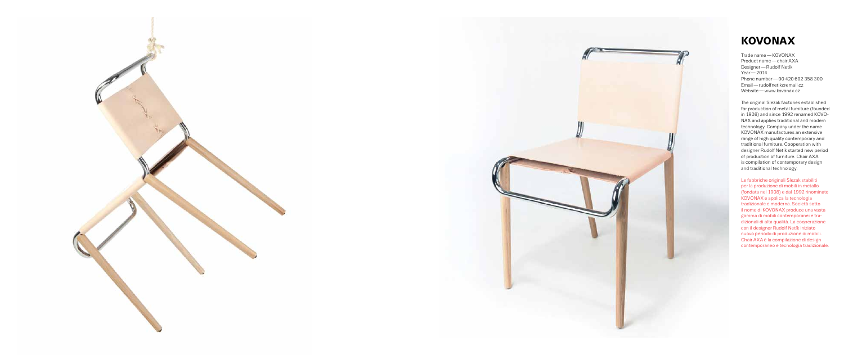

## **KOVONAX**

Trade name―KOVONAX Product name―chair AXA Designer―Rudolf Netík Year<sup>-2014</sup> Phone number―00 420 602 358 300 Email―rudolfnetik@email.cz Website―www.kovonax.cz

The original Slezak factories established for production of metal furniture (founded in 1908) and since 1992 renamed KOVO-NAX and applies traditional and modern technology. Company under the name KOVONAX manufactures an extensive range of high quality contemporary and traditional furniture. Cooperation with designer Rudolf Netík started new period of production of furniture. Chair AXA is compilation of contemporary design and traditional technology.

Le fabbriche originali Slezak stabiliti per la produzione di mobili in metallo (fondata nel 1908) e dal 1992 rinominato KOVONAX e applica la tecnologia tradizionale e moderna. Società sotto il nome di KOVONAX produce una vasta gamma di mobili contemporanei e tradizionali di alta qualità. La cooperazione con il designer Rudolf Netík iniziato nuovo periodo di produzione di mobili. Chair AXA è la compilazione di design contemporaneo e tecnologia tradizionale.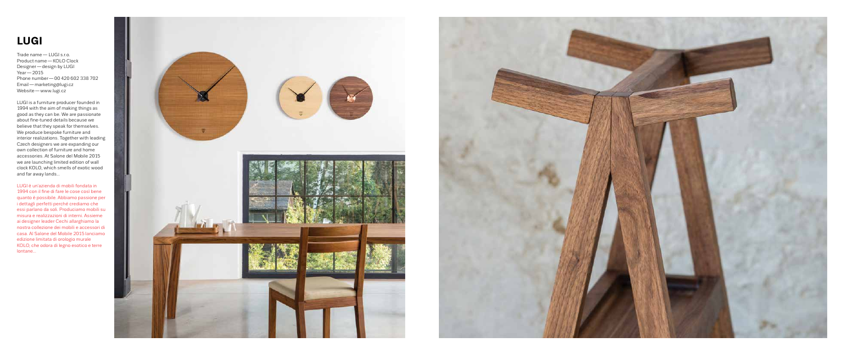## **LUGI**

Trade name― LUGI s.r.o. Product name―KOLO Clock Designer―design by LUGI Year<sup>-2015</sup> Phone number―00 420 602 338 702 Email―marketing@lugi.cz Website — www.lugi.cz

LUGI is a furniture producer founded in 1994 with the aim of making things as good as they can be. We are passionate about fne-tuned details because we believe that they speak for themselves. We produce bespoke furniture and interior realizations. Together with leading Czech designers we are expanding our own collection of furniture and home accessories. At Salone del Mobile 2015 we are launching limited edition of wall clock KOLO, which smells of exotic wood and far away lands...

LUGI è un'azienda di mobili fondata in 1994 con il fne di fare le cose così bene quanto è possibile. Abbiamo passione per i dettagli perfetti perché crediamo che essi parlano da soli. Produciamo mobili su misura e realizzazioni di interni. Assieme ai designer leader Cechi allarghiamo la nostra collezione dei mobili e accessori di casa. Al Salone del Mobile 2015 lanciamo edizione limitata di orologio murale KOLO, che odora di legno esotico e terre lontane...



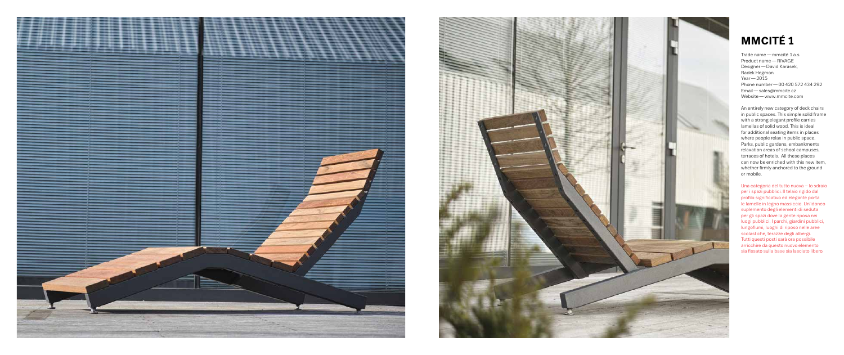



## **MMCITÉ 1**

Trade name―mmcité 1 a.s. Product name―RIVAGE Designer―David Karásek, Radek Hegmon  $Year - 2015$ Phone number―00 420 572 434 292 Email―sales@mmcite.cz Website―www.mmcite.com

Una categoria del tutto nuova – lo sdraio per i spazi pubblici. Il telaio rigido dal profilo significativo ed elegante porta le lamelle in legno massiccio. Un'idoneo suplemento degli elementi di seduta per gli spazi dove la gente riposa nei luogi pubblici. I parchi, giardini pubblici, lungofumi, luoghi di riposo nelle aree scolastiche, terazze degli albergi. Tutti questi posti sarà ora possibile arricchire da questo nuovo elemento sia fissato sulla base sia lasciato libero.

An entirely new category of deck chairs in public spaces. This simple solid frame with a strong elegant profle carries lamellas of solid wood. This is ideal for additional seating items in places where people relax in public space. Parks, public gardens, embankments relaxation areas of school campuses, terraces of hotels. All these places can now be enriched with this new item, whether frmly anchored to the ground or mobile.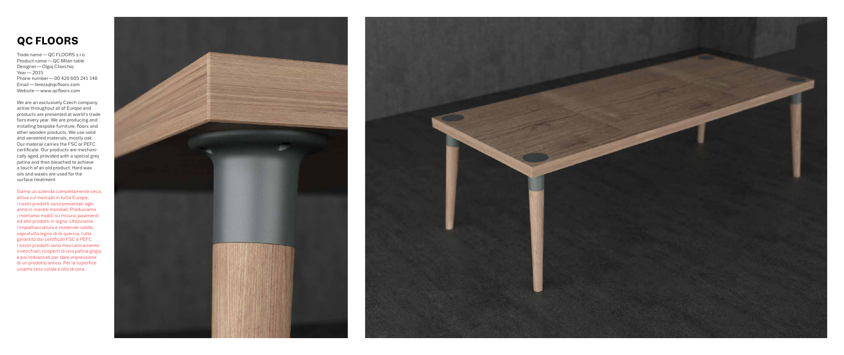## **QC FLOORS**

Trade name―QC FLOORS s.r.o. Product name―QC Milan table Designer―Olgoj Chorchoj Year<sup>-2015</sup> Phone number―00 420 605 241 148 Email-tereza@qcfloors.com Website-www.qcfloors.com

We are an exclusively Czech company active throughout all of Europe and products are presented at world´s trade fairs every year. We are producing and installing bespoke furniture, foors and other wooden products. We use solid and veneered materials, mostly oak. Our material carries the FSC or PEFC certifcate. Our products are mechanically aged, provided with a special grey patina and then bleached to achieve a touch of an old product. Hard wax oils and waxes are used for the surface treatment.

Siamo un azienda completamente ceca, attiva sul mercato in tutta Europa, i nostri prodotti sono presentati ogni anno in mostre mondiali. Produciamo i montamo mobili su misura, pavimenti ed altri prodotti in legno. Utilizziamo l'impialliacciatura e materiale solido, sopratutto legno di di quercia, tutto garantito dai certifcati FSC e PEFC. I nostri prodotti sono meccanicamente invecchiati, ricoperti di una patina grigia e poi imbiancati per dare impressione di un prodotto antico. Per la superfice usiamo cera solida e olio di cera.



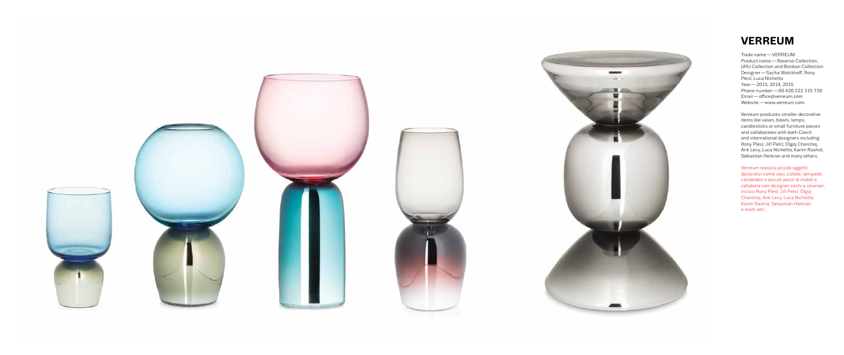



## **VERREUM**

Verreum produces smaller decorative items like vases, bowls, lamps, candlesticks or small furniture pieces and collaborates with both Czech and international designers including Rony Plesl, Jiří Pelcl, Olgoj Chorchoj, Arik Levy, Luca Nichetto, Karim Rashid, Sebastian Herkner and many others.

Trade name―VERREUM Product name―Reverso Collection, URU Collection and Bonbon Collection Designer — Sacha Walckhoff, Rony Plesl, Luca Nichetto Year―2015, 2014, 2015 Phone number―00 420 222 315 739 Email-office@verreum.com Website―www.verreum.com

Verreum realizza piccoli oggetti decorativi come vasi, ciotole, lampade, candelabri e piccoli pezzi di mobili e collabora con designer cechi e stranieri, inclusi Rony Plesl, Jiří Pelcl, Olgoj Chorchoj, Arik Levy, Luca Nichetto, Karim Rashid, Sebastian Herkner e molti altri.